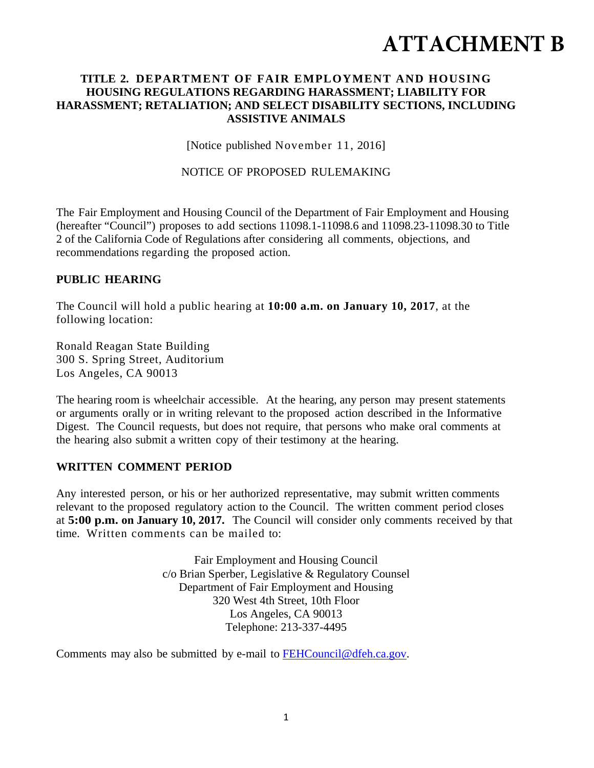# **ATTACHMENT B**

## **TITLE 2. DEPARTMENT OF FAIR EMPLOYMENT AND HOUSING HOUSING REGULATIONS REGARDING HARASSMENT; LIABILITY FOR HARASSMENT; RETALIATION; AND SELECT DISABILITY SECTIONS, INCLUDING ASSISTIVE ANIMALS**

[Notice published November 11, 2016]

NOTICE OF PROPOSED RULEMAKING

The Fair Employment and Housing Council of the Department of Fair Employment and Housing (hereafter "Council") proposes to add sections 11098.1-11098.6 and 11098.23-11098.30 to Title 2 of the California Code of Regulations after considering all comments, objections, and recommendations regarding the proposed action.

## **PUBLIC HEARING**

The Council will hold a public hearing at **10:00 a.m. on January 10, 2017**, at the following location:

Ronald Reagan State Building 300 S. Spring Street, Auditorium Los Angeles, CA 90013

The hearing room is wheelchair accessible. At the hearing, any person may present statements or arguments orally or in writing relevant to the proposed action described in the Informative Digest. The Council requests, but does not require, that persons who make oral comments at the hearing also submit a written copy of their testimony at the hearing.

#### **WRITTEN COMMENT PERIOD**

Any interested person, or his or her authorized representative, may submit written comments relevant to the proposed regulatory action to the Council. The written comment period closes at **5:00 p.m. on January 10, 2017.** The Council will consider only comments received by that time. Written comments can be mailed to:

> Fair Employment and Housing Council c/o Brian Sperber, Legislative & Regulatory Counsel Department of Fair Employment and Housing 320 West 4th Street, 10th Floor Los Angeles, CA 90013 Telephone: 213-337-4495

Comments may also be submitted by e-mail to FEHCouncil@dfeh.ca.gov.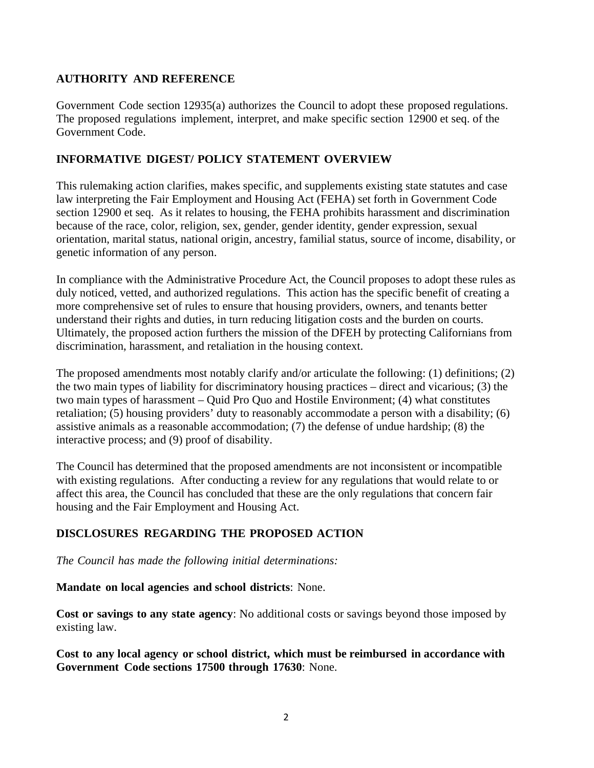# **AUTHORITY AND REFERENCE**

Government Code section 12935(a) authorizes the Council to adopt these proposed regulations. The proposed regulations implement, interpret, and make specific section 12900 et seq. of the Government Code.

# **INFORMATIVE DIGEST/ POLICY STATEMENT OVERVIEW**

This rulemaking action clarifies, makes specific, and supplements existing state statutes and case law interpreting the Fair Employment and Housing Act (FEHA) set forth in Government Code section 12900 et seq. As it relates to housing, the FEHA prohibits harassment and discrimination because of the race, color, religion, sex, gender, gender identity, gender expression, sexual orientation, marital status, national origin, ancestry, familial status, source of income, disability, or genetic information of any person.

In compliance with the Administrative Procedure Act, the Council proposes to adopt these rules as duly noticed, vetted, and authorized regulations. This action has the specific benefit of creating a more comprehensive set of rules to ensure that housing providers, owners, and tenants better understand their rights and duties, in turn reducing litigation costs and the burden on courts. Ultimately, the proposed action furthers the mission of the DFEH by protecting Californians from discrimination, harassment, and retaliation in the housing context.

The proposed amendments most notably clarify and/or articulate the following: (1) definitions; (2) the two main types of liability for discriminatory housing practices – direct and vicarious; (3) the two main types of harassment – Quid Pro Quo and Hostile Environment; (4) what constitutes retaliation; (5) housing providers' duty to reasonably accommodate a person with a disability; (6) assistive animals as a reasonable accommodation; (7) the defense of undue hardship; (8) the interactive process; and (9) proof of disability.

The Council has determined that the proposed amendments are not inconsistent or incompatible with existing regulations. After conducting a review for any regulations that would relate to or affect this area, the Council has concluded that these are the only regulations that concern fair housing and the Fair Employment and Housing Act.

# **DISCLOSURES REGARDING THE PROPOSED ACTION**

*The Council has made the following initial determinations:* 

**Mandate on local agencies and school districts**: None.

**Cost or savings to any state agency**: No additional costs or savings beyond those imposed by existing law.

**Cost to any local agency or school district, which must be reimbursed in accordance with Government Code sections 17500 through 17630**: None.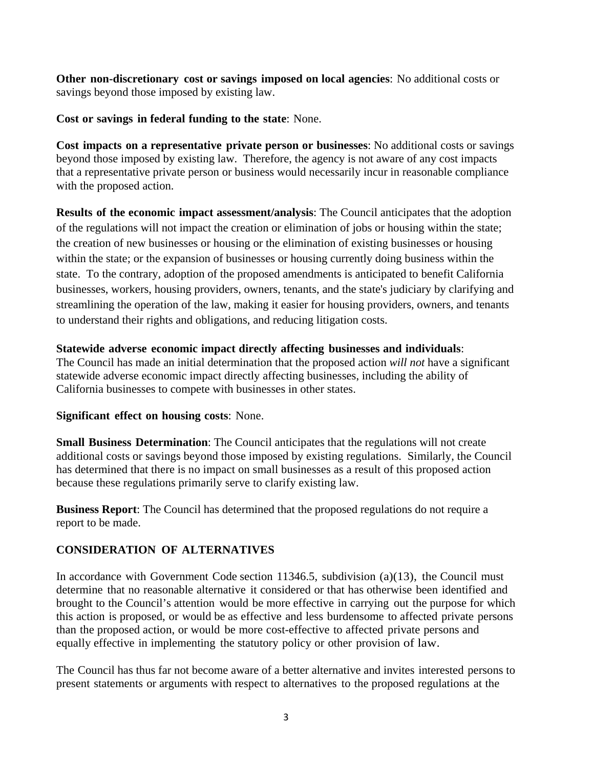**Other non-discretionary cost or savings imposed on local agencies**: No additional costs or savings beyond those imposed by existing law.

**Cost or savings in federal funding to the state**: None.

**Cost impacts on a representative private person or businesses**: No additional costs or savings beyond those imposed by existing law. Therefore, the agency is not aware of any cost impacts that a representative private person or business would necessarily incur in reasonable compliance with the proposed action.

**Results of the economic impact assessment/analysis**: The Council anticipates that the adoption of the regulations will not impact the creation or elimination of jobs or housing within the state; the creation of new businesses or housing or the elimination of existing businesses or housing within the state; or the expansion of businesses or housing currently doing business within the state. To the contrary, adoption of the proposed amendments is anticipated to benefit California businesses, workers, housing providers, owners, tenants, and the state's judiciary by clarifying and streamlining the operation of the law, making it easier for housing providers, owners, and tenants to understand their rights and obligations, and reducing litigation costs.

#### **Statewide adverse economic impact directly affecting businesses and individuals**:

The Council has made an initial determination that the proposed action *will not* have a significant statewide adverse economic impact directly affecting businesses, including the ability of California businesses to compete with businesses in other states.

#### **Significant effect on housing costs**: None.

**Small Business Determination**: The Council anticipates that the regulations will not create additional costs or savings beyond those imposed by existing regulations. Similarly, the Council has determined that there is no impact on small businesses as a result of this proposed action because these regulations primarily serve to clarify existing law.

**Business Report**: The Council has determined that the proposed regulations do not require a report to be made.

#### **CONSIDERATION OF ALTERNATIVES**

In accordance with Government Code section 11346.5, subdivision (a)(13), the Council must determine that no reasonable alternative it considered or that has otherwise been identified and brought to the Council's attention would be more effective in carrying out the purpose for which this action is proposed, or would be as effective and less burdensome to affected private persons than the proposed action, or would be more cost-effective to affected private persons and equally effective in implementing the statutory policy or other provision of law.

The Council has thus far not become aware of a better alternative and invites interested persons to present statements or arguments with respect to alternatives to the proposed regulations at the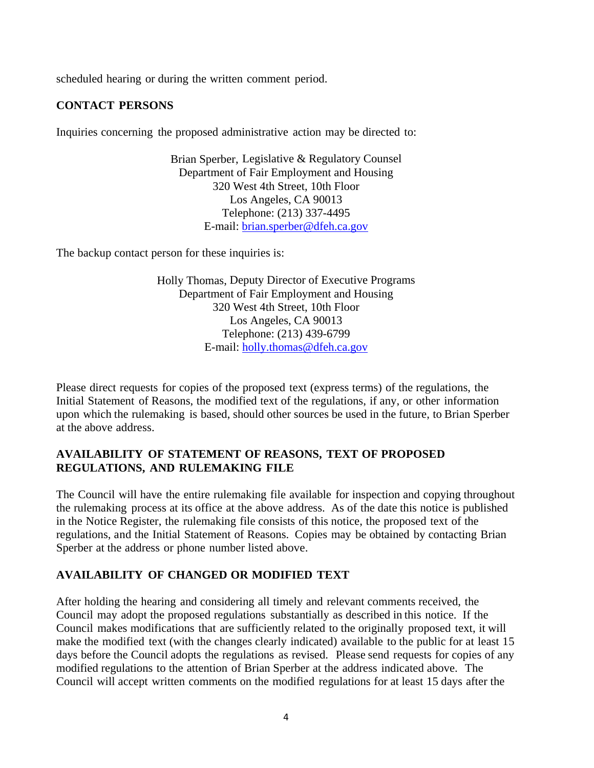scheduled hearing or during the written comment period.

# **CONTACT PERSONS**

Inquiries concerning the proposed administrative action may be directed to:

Brian Sperber, Legislative & Regulatory Counsel Department of Fair Employment and Housing 320 West 4th Street, 10th Floor Los Angeles, CA 90013 Telephone: (213) 337-4495 E-mail: brian.sperber@dfeh.ca.gov

The backup contact person for these inquiries is:

Holly Thomas, Deputy Director of Executive Programs Department of Fair Employment and Housing 320 West 4th Street, 10th Floor Los Angeles, CA 90013 Telephone: (213) 439-6799 E-mail: holly.thomas@dfeh.ca.gov

Please direct requests for copies of the proposed text (express terms) of the regulations, the Initial Statement of Reasons, the modified text of the regulations, if any, or other information upon which the rulemaking is based, should other sources be used in the future, to Brian Sperber at the above address.

#### **AVAILABILITY OF STATEMENT OF REASONS, TEXT OF PROPOSED REGULATIONS, AND RULEMAKING FILE**

The Council will have the entire rulemaking file available for inspection and copying throughout the rulemaking process at its office at the above address. As of the date this notice is published in the Notice Register, the rulemaking file consists of this notice, the proposed text of the regulations, and the Initial Statement of Reasons. Copies may be obtained by contacting Brian Sperber at the address or phone number listed above.

#### **AVAILABILITY OF CHANGED OR MODIFIED TEXT**

After holding the hearing and considering all timely and relevant comments received, the Council may adopt the proposed regulations substantially as described in this notice. If the Council makes modifications that are sufficiently related to the originally proposed text, it will make the modified text (with the changes clearly indicated) available to the public for at least 15 days before the Council adopts the regulations as revised. Please send requests for copies of any modified regulations to the attention of Brian Sperber at the address indicated above. The Council will accept written comments on the modified regulations for at least 15 days after the